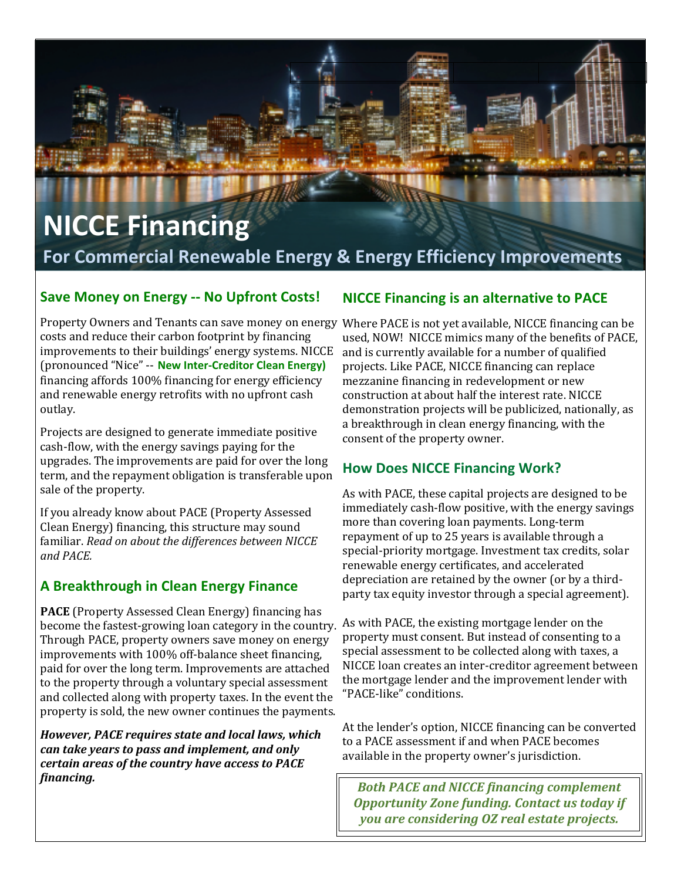# **NICCE Financing For Commercial Renewable Energy & Energy Efficiency Improvements**

#### **Save Money on Energy -- No Upfront Costs!**

Property Owners and Tenants can save money on energy Where PACE is not yet available, NICCE financing can be costs and reduce their carbon footprint by financing improvements to their buildings' energy systems. NICCE (pronounced "Nice" -- **New Inter-Creditor Clean Energy)**  financing affords  $100\%$  financing for energy efficiency and renewable energy retrofits with no upfront cash outlay. 

Projects are designed to generate immediate positive cash-flow, with the energy savings paying for the upgrades. The improvements are paid for over the long term, and the repayment obligation is transferable upon sale of the property.

If you already know about PACE (Property Assessed Clean Energy) financing, this structure may sound familiar. *Read on about the differences between NICCE and PACE.*

### **A Breakthrough in Clean Energy Finance**

**PACE** (Property Assessed Clean Energy) financing has become the fastest-growing loan category in the country. Through PACE, property owners save money on energy improvements with 100% off-balance sheet financing, paid for over the long term. Improvements are attached to the property through a voluntary special assessment and collected along with property taxes. In the event the property is sold, the new owner continues the payments.

*However, PACE requires state and local laws, which can take years to pass and implement, and only certain areas of the country have access to PACE financing.*

### **NICCE Financing is an alternative to PACE**

used. NOW! NICCE mimics many of the benefits of PACE, and is currently available for a number of qualified projects. Like PACE, NICCE financing can replace mezzanine financing in redevelopment or new construction at about half the interest rate. NICCE demonstration projects will be publicized, nationally, as a breakthrough in clean energy financing, with the consent of the property owner.

### **How Does NICCE Financing Work?**

As with PACE, these capital projects are designed to be immediately cash-flow positive, with the energy savings more than covering loan payments. Long-term repayment of up to 25 years is available through a special-priority mortgage. Investment tax credits, solar renewable energy certificates, and accelerated depreciation are retained by the owner (or by a thirdparty tax equity investor through a special agreement).

As with PACE, the existing mortgage lender on the property must consent. But instead of consenting to a special assessment to be collected along with taxes, a NICCE loan creates an inter-creditor agreement between the mortgage lender and the improvement lender with "PACE-like" conditions. 

At the lender's option, NICCE financing can be converted to a PACE assessment if and when PACE becomes available in the property owner's jurisdiction.

**Both PACE and NICCE financing complement Opportunity Zone funding. Contact us today if** *you are considering OZ real estate projects.*